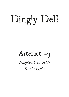## Dingly Dell

## Artefact #3

*Neighbourhood Guide Dated c.1950's*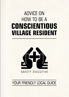## ADVICE ON HOW TO BE A **CONSCIENTIOUS VILLAGE RESIDENT**



### YOUR FRIENDLY LOCAL GUIDE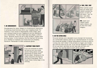

#### **1. BE CONSIDERATE**

Consideration for other villagers is of paramount importance in achieving moral harmony within your neighbourhood. For instance, if your house is disgracefully untidy inside, paint your windows white so your neighbours are not affected by your slovenliness. This also helps keep the village a uniform colour. Bonfires should not be lit after 6.00pm, except when burning books. In this instance, the fire may burn for as long as is needed to irradicate your home from all unhealthy literature. Remember to wear protective gloves.



#### **2. SUPPORT YOUR PARTY**

If you are endowed of wealth, be sure to turn out those secret hiding places and give generously to those more fiscally adept. Donating to the safety executive will improve the lives of everybody. Don't forget those money bags in the chimney.





#### **4. GO THE EXTRA MILE**

Personal vehicles are a decadent luxury (except the functional yet comfortable saloons used by our representatives of course) and should be avoided. A better alternative to driving to work is running; but, don't loiter in the streets to regain your breath, get home as soon as you can. If you are too fatigued to make it all the way back, bed down by the road side and wait until morning. Your journey back to work will be shorter!



#### **3. TIDY, TIDY, TIDY**

Other parties would have you stack your rubbish outside the house, or even on the stairs - but, oh dear, look what happens, a mess!

**NO**, stack your rubbish sacks neatly indoors, out of view from tidier villagers.